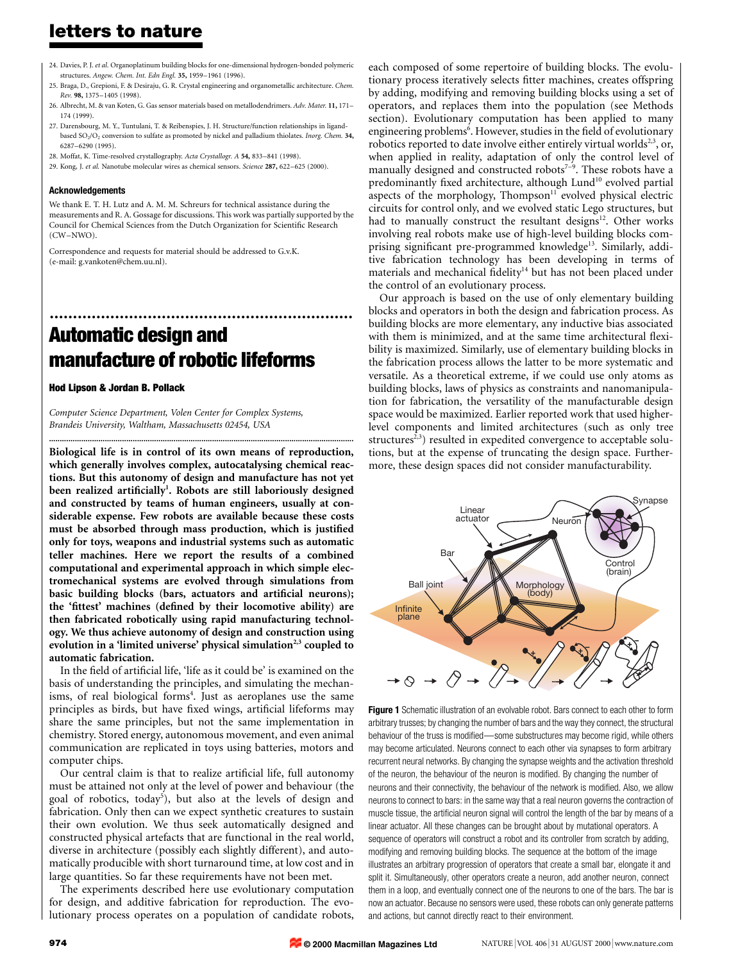- 24. Davies, P. J. et al. Organoplatinum building blocks for one-dimensional hydrogen-bonded polymeric structures. Angew. Chem. Int. Edn Engl. 35, 1959-1961 (1996).
- 25. Braga, D., Grepioni, F. & Desiraju, G. R. Crystal engineering and organometallic architecture. Chem Rev. 98, 1375-1405 (1998).
- 26. Albrecht, M. & van Koten, G. Gas sensor materials based on metallodendrimers. Adv. Mater. 11, 171-174 (1999).
- 27. Darensbourg, M. Y., Tuntulani, T. & Reibenspies, J. H. Structure/function relationships in ligandbased SO<sub>2</sub>/O<sub>2</sub> conversion to sulfate as promoted by nickel and palladium thiolates. Inorg. Chem. 34, 6287±6290 (1995).
- 28. Moffat, K. Time-resolved crystallography. Acta Crystallogr. A 54, 833-841 (1998).
- 29. Kong, J. et al. Nanotube molecular wires as chemical sensors. Science 287, 622-625 (2000).

### **Acknowledgements**

We thank E. T. H. Lutz and A. M. M. Schreurs for technical assistance during the measurements and R. A. Gossage for discussions. This work was partially supported by the Council for Chemical Sciences from the Dutch Organization for Scientific Research (CW±NWO).

Correspondence and requests for material should be addressed to G.v.K. (e-mail: g.vankoten@chem.uu.nl).

# ................................................................. Automatic design and manufacture of robotic lifeforms

## Hod Lipson & Jordan B. Pollack

Computer Science Department, Volen Center for Complex Systems, Brandeis University, Waltham, Massachusetts 02454, USA

Biological life is in control of its own means of reproduction, which generally involves complex, autocatalysing chemical reactions. But this autonomy of design and manufacture has not yet been realized artificially<sup>1</sup>. Robots are still laboriously designed and constructed by teams of human engineers, usually at considerable expense. Few robots are available because these costs must be absorbed through mass production, which is justified only for toys, weapons and industrial systems such as automatic teller machines. Here we report the results of a combined computational and experimental approach in which simple electromechanical systems are evolved through simulations from basic building blocks (bars, actuators and artificial neurons); the 'fittest' machines (defined by their locomotive ability) are then fabricated robotically using rapid manufacturing technology. We thus achieve autonomy of design and construction using evolution in a 'limited universe' physical simulation $2,3$  coupled to automatic fabrication.

..............................................................................................................................................

In the field of artificial life, 'life as it could be' is examined on the basis of understanding the principles, and simulating the mechanisms, of real biological forms<sup>4</sup>. Just as aeroplanes use the same principles as birds, but have fixed wings, artificial lifeforms may share the same principles, but not the same implementation in chemistry. Stored energy, autonomous movement, and even animal communication are replicated in toys using batteries, motors and computer chips.

Our central claim is that to realize artificial life, full autonomy must be attained not only at the level of power and behaviour (the goal of robotics, today<sup>5</sup>), but also at the levels of design and fabrication. Only then can we expect synthetic creatures to sustain their own evolution. We thus seek automatically designed and constructed physical artefacts that are functional in the real world, diverse in architecture (possibly each slightly different), and automatically producible with short turnaround time, at low cost and in large quantities. So far these requirements have not been met.

The experiments described here use evolutionary computation for design, and additive fabrication for reproduction. The evolutionary process operates on a population of candidate robots,

each composed of some repertoire of building blocks. The evolutionary process iteratively selects fitter machines, creates offspring by adding, modifying and removing building blocks using a set of operators, and replaces them into the population (see Methods section). Evolutionary computation has been applied to many engineering problems<sup>6</sup>. However, studies in the field of evolutionary robotics reported to date involve either entirely virtual worlds<sup>2,3</sup>, or, when applied in reality, adaptation of only the control level of manually designed and constructed robots<sup> $7-9$ </sup>. These robots have a predominantly fixed architecture, although Lund<sup>10</sup> evolved partial aspects of the morphology, Thompson $11$  evolved physical electric circuits for control only, and we evolved static Lego structures, but had to manually construct the resultant designs<sup>12</sup>. Other works involving real robots make use of high-level building blocks comprising significant pre-programmed knowledge<sup>13</sup>. Similarly, additive fabrication technology has been developing in terms of materials and mechanical fidelity<sup>14</sup> but has not been placed under the control of an evolutionary process.

Our approach is based on the use of only elementary building blocks and operators in both the design and fabrication process. As building blocks are more elementary, any inductive bias associated with them is minimized, and at the same time architectural flexibility is maximized. Similarly, use of elementary building blocks in the fabrication process allows the latter to be more systematic and versatile. As a theoretical extreme, if we could use only atoms as building blocks, laws of physics as constraints and nanomanipulation for fabrication, the versatility of the manufacturable design space would be maximized. Earlier reported work that used higherlevel components and limited architectures (such as only tree structures<sup>2,3</sup>) resulted in expedited convergence to acceptable solutions, but at the expense of truncating the design space. Furthermore, these design spaces did not consider manufacturability.



Figure 1 Schematic illustration of an evolvable robot. Bars connect to each other to form arbitrary trusses; by changing the number of bars and the way they connect, the structural behaviour of the truss is modified—some substructures may become rigid, while others may become articulated. Neurons connect to each other via synapses to form arbitrary recurrent neural networks. By changing the synapse weights and the activation threshold of the neuron, the behaviour of the neuron is modified. By changing the number of neurons and their connectivity, the behaviour of the network is modified. Also, we allow neurons to connect to bars: in the same way that a real neuron governs the contraction of muscle tissue, the artificial neuron signal will control the length of the bar by means of a linear actuator. All these changes can be brought about by mutational operators. A sequence of operators will construct a robot and its controller from scratch by adding, modifying and removing building blocks. The sequence at the bottom of the image illustrates an arbitrary progression of operators that create a small bar, elongate it and split it. Simultaneously, other operators create a neuron, add another neuron, connect them in a loop, and eventually connect one of the neurons to one of the bars. The bar is now an actuator. Because no sensors were used, these robots can only generate patterns and actions, but cannot directly react to their environment.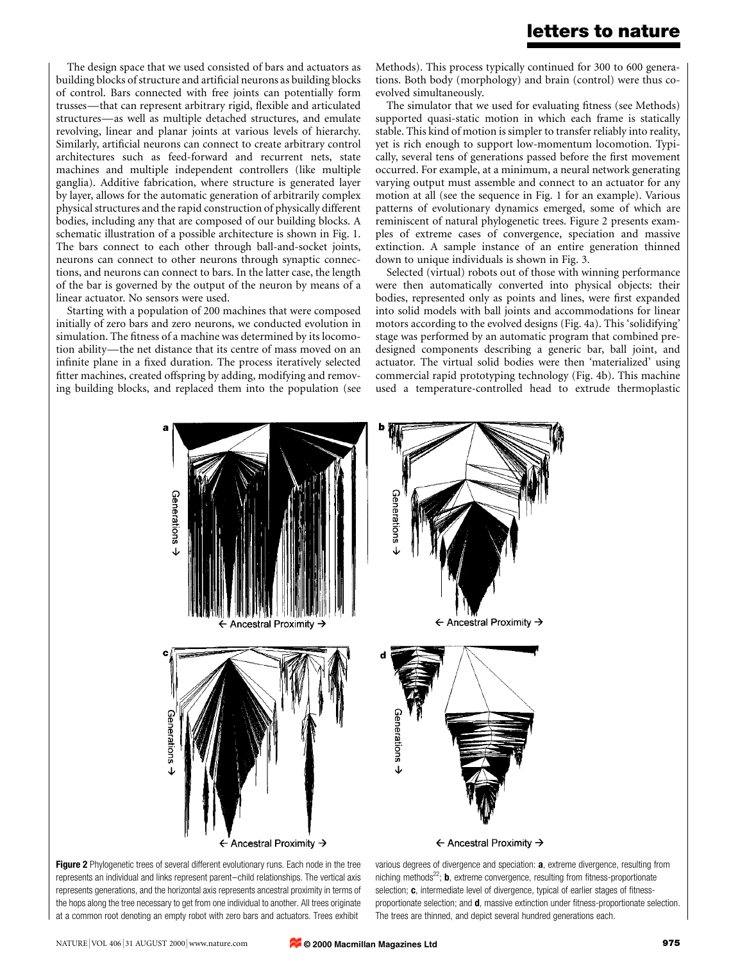The design space that we used consisted of bars and actuators as building blocks of structure and artificial neurons as building blocks of control. Bars connected with free joints can potentially form trusses—that can represent arbitrary rigid, flexible and articulated structures—as well as multiple detached structures, and emulate revolving, linear and planar joints at various levels of hierarchy. Similarly, artificial neurons can connect to create arbitrary control architectures such as feed-forward and recurrent nets, state machines and multiple independent controllers (like multiple ganglia). Additive fabrication, where structure is generated layer by layer, allows for the automatic generation of arbitrarily complex physical structures and the rapid construction of physically different bodies, including any that are composed of our building blocks. A schematic illustration of a possible architecture is shown in Fig. 1. The bars connect to each other through ball-and-socket joints, neurons can connect to other neurons through synaptic connections, and neurons can connect to bars. In the latter case, the length of the bar is governed by the output of the neuron by means of a linear actuator. No sensors were used.

Starting with a population of 200 machines that were composed initially of zero bars and zero neurons, we conducted evolution in simulation. The fitness of a machine was determined by its locomotion ability—the net distance that its centre of mass moved on an infinite plane in a fixed duration. The process iteratively selected fitter machines, created offspring by adding, modifying and removing building blocks, and replaced them into the population (see Methods). This process typically continued for 300 to 600 generations. Both body (morphology) and brain (control) were thus coevolved simultaneously.

The simulator that we used for evaluating fitness (see Methods) supported quasi-static motion in which each frame is statically stable. This kind of motion is simpler to transfer reliably into reality, yet is rich enough to support low-momentum locomotion. Typically, several tens of generations passed before the first movement occurred. For example, at a minimum, a neural network generating varying output must assemble and connect to an actuator for any motion at all (see the sequence in Fig. 1 for an example). Various patterns of evolutionary dynamics emerged, some of which are reminiscent of natural phylogenetic trees. Figure 2 presents examples of extreme cases of convergence, speciation and massive extinction. A sample instance of an entire generation thinned down to unique individuals is shown in Fig. 3.

Selected (virtual) robots out of those with winning performance were then automatically converted into physical objects: their bodies, represented only as points and lines, were first expanded into solid models with ball joints and accommodations for linear motors according to the evolved designs (Fig. 4a). This `solidifying' stage was performed by an automatic program that combined predesigned components describing a generic bar, ball joint, and actuator. The virtual solid bodies were then `materialized' using commercial rapid prototyping technology (Fig. 4b). This machine used a temperature-controlled head to extrude thermoplastic



Figure 2 Phylogenetic trees of several different evolutionary runs. Each node in the tree represents an individual and links represent parent-child relationships. The vertical axis represents generations, and the horizontal axis represents ancestral proximity in terms of the hops along the tree necessary to get from one individual to another. All trees originate at a common root denoting an empty robot with zero bars and actuators. Trees exhibit

various degrees of divergence and speciation: a, extreme divergence, resulting from niching methods<sup>22</sup>; **b**, extreme convergence, resulting from fitness-proportionate selection; c, intermediate level of divergence, typical of earlier stages of fitnessproportionate selection; and  $d$ , massive extinction under fitness-proportionate selection. The trees are thinned, and depict several hundred generations each.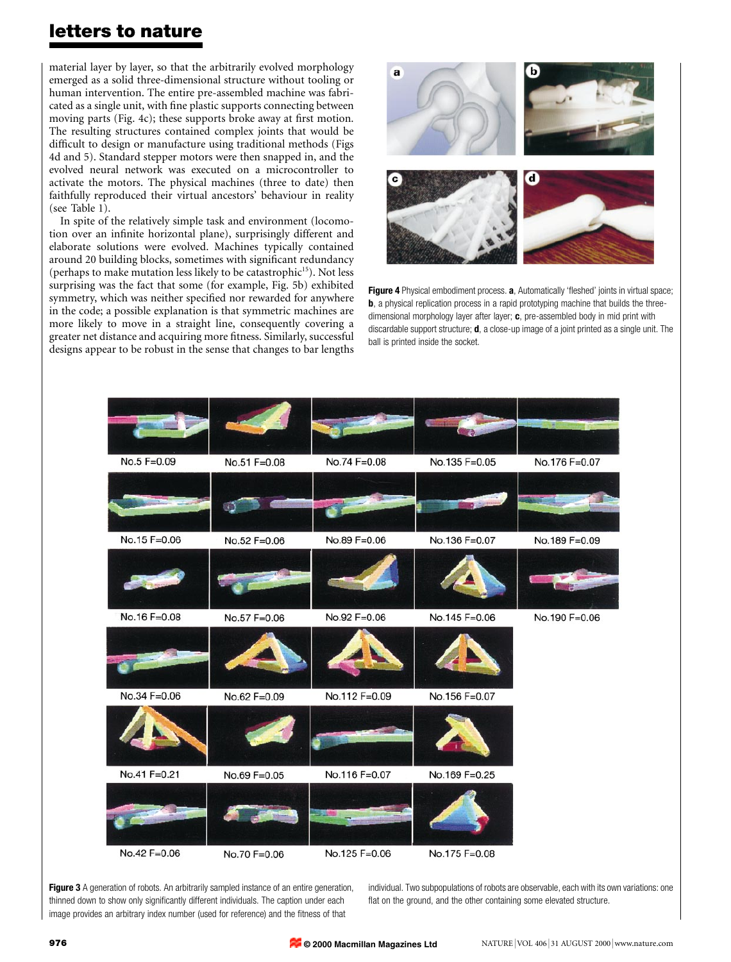material layer by layer, so that the arbitrarily evolved morphology emerged as a solid three-dimensional structure without tooling or human intervention. The entire pre-assembled machine was fabricated as a single unit, with fine plastic supports connecting between moving parts (Fig. 4c); these supports broke away at first motion. The resulting structures contained complex joints that would be difficult to design or manufacture using traditional methods (Figs) 4d and 5). Standard stepper motors were then snapped in, and the evolved neural network was executed on a microcontroller to activate the motors. The physical machines (three to date) then faithfully reproduced their virtual ancestors' behaviour in reality (see Table 1).

In spite of the relatively simple task and environment (locomotion over an infinite horizontal plane), surprisingly different and elaborate solutions were evolved. Machines typically contained around 20 building blocks, sometimes with significant redundancy (perhaps to make mutation less likely to be catastrophic $15$ ). Not less surprising was the fact that some (for example, Fig. 5b) exhibited symmetry, which was neither specified nor rewarded for anywhere in the code; a possible explanation is that symmetric machines are more likely to move in a straight line, consequently covering a greater net distance and acquiring more fitness. Similarly, successful designs appear to be robust in the sense that changes to bar lengths



Figure 4 Physical embodiment process. a, Automatically 'fleshed' joints in virtual space; **b**, a physical replication process in a rapid prototyping machine that builds the threedimensional morphology layer after layer; c, pre-assembled body in mid print with discardable support structure; d, a close-up image of a joint printed as a single unit. The ball is printed inside the socket.



Figure 3 A generation of robots. An arbitrarily sampled instance of an entire generation, thinned down to show only significantly different individuals. The caption under each image provides an arbitrary index number (used for reference) and the fitness of that

individual. Two subpopulations of robots are observable, each with its own variations: one flat on the ground, and the other containing some elevated structure.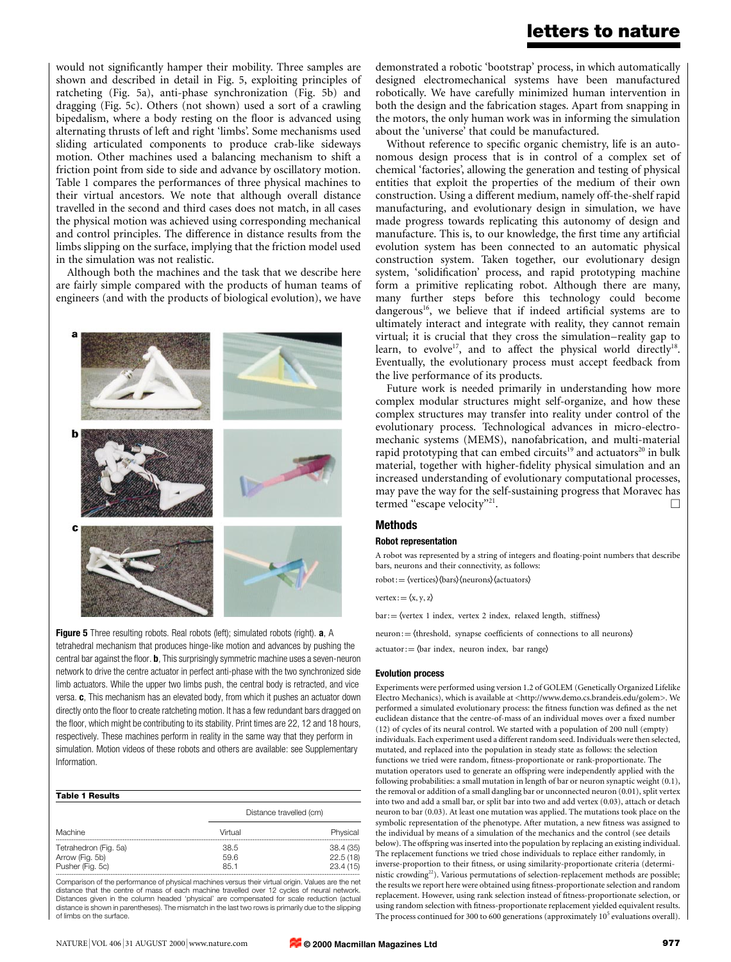would not significantly hamper their mobility. Three samples are shown and described in detail in Fig. 5, exploiting principles of ratcheting (Fig. 5a), anti-phase synchronization (Fig. 5b) and dragging (Fig. 5c). Others (not shown) used a sort of a crawling bipedalism, where a body resting on the floor is advanced using alternating thrusts of left and right `limbs'. Some mechanisms used sliding articulated components to produce crab-like sideways motion. Other machines used a balancing mechanism to shift a friction point from side to side and advance by oscillatory motion. Table 1 compares the performances of three physical machines to their virtual ancestors. We note that although overall distance travelled in the second and third cases does not match, in all cases the physical motion was achieved using corresponding mechanical and control principles. The difference in distance results from the limbs slipping on the surface, implying that the friction model used in the simulation was not realistic.

Although both the machines and the task that we describe here are fairly simple compared with the products of human teams of engineers (and with the products of biological evolution), we have



Figure 5 Three resulting robots. Real robots (left); simulated robots (right). a, A tetrahedral mechanism that produces hinge-like motion and advances by pushing the central bar against the floor. **b**, This surprisingly symmetric machine uses a seven-neuron network to drive the centre actuator in perfect anti-phase with the two synchronized side limb actuators. While the upper two limbs push, the central body is retracted, and vice versa.  $\mathbf{c}$ , This mechanism has an elevated body, from which it pushes an actuator down directly onto the floor to create ratcheting motion. It has a few redundant bars dragged on the floor, which might be contributing to its stability. Print times are 22, 12 and 18 hours, respectively. These machines perform in reality in the same way that they perform in simulation. Motion videos of these robots and others are available: see Supplementary Information.

| <b>Table 1 Results</b>                                                                             |                         |           |
|----------------------------------------------------------------------------------------------------|-------------------------|-----------|
|                                                                                                    | Distance travelled (cm) |           |
| Machine                                                                                            | Virtual                 | Physical  |
| Tetrahedron (Fig. 5a)                                                                              | 38.5                    | 38.4 (35) |
| Arrow (Fig. 5b)                                                                                    | 59.6                    | 22.5(18)  |
| Pusher (Fig. 5c)                                                                                   | 85.1                    | 23.4(15)  |
| Comparison of the performance of physical machines versus their virtual origin. Values are the net |                         |           |

distance that the centre of mass of each machine travelled over 12 cycles of neural network. Distances given in the column headed 'physical' are compensated for scale reduction (actual distance is shown in parentheses). The mismatch in the last two rows is primarily due to the slipping of limbs on the surface.

demonstrated a robotic `bootstrap' process, in which automatically designed electromechanical systems have been manufactured robotically. We have carefully minimized human intervention in both the design and the fabrication stages. Apart from snapping in the motors, the only human work was in informing the simulation about the `universe' that could be manufactured.

Without reference to specific organic chemistry, life is an autonomous design process that is in control of a complex set of chemical `factories', allowing the generation and testing of physical entities that exploit the properties of the medium of their own construction. Using a different medium, namely off-the-shelf rapid manufacturing, and evolutionary design in simulation, we have made progress towards replicating this autonomy of design and manufacture. This is, to our knowledge, the first time any artificial evolution system has been connected to an automatic physical construction system. Taken together, our evolutionary design system, 'solidification' process, and rapid prototyping machine form a primitive replicating robot. Although there are many, many further steps before this technology could become dangerous<sup>16</sup>, we believe that if indeed artificial systems are to ultimately interact and integrate with reality, they cannot remain virtual; it is crucial that they cross the simulation-reality gap to learn, to evolve<sup>17</sup>, and to affect the physical world directly<sup>18</sup>. Eventually, the evolutionary process must accept feedback from the live performance of its products.

Future work is needed primarily in understanding how more complex modular structures might self-organize, and how these complex structures may transfer into reality under control of the evolutionary process. Technological advances in micro-electromechanic systems (MEMS), nanofabrication, and multi-material rapid prototyping that can embed circuits<sup>19</sup> and actuators<sup>20</sup> in bulk material, together with higher-fidelity physical simulation and an increased understanding of evolutionary computational processes, may pave the way for the self-sustaining progress that Moravec has termed "escape velocity"<sup>21</sup>.

## Methods

## Robot representation

A robot was represented by a string of integers and floating-point numbers that describe bars, neurons and their connectivity, as follows:

robot: =  $\langle \text{vertices} \rangle \langle \text{hours} \rangle \langle \text{actualors} \rangle$ 

 $vertex := \langle x, y, z \rangle$ 

 $bar := \langle vertex 1 \text{ index}, vertex 2 \text{ index}, relaxed length, stiffness} \rangle$ 

neuron: = (threshold, synapse coefficients of connections to all neurons)

 $actuator := \langle bar index, neuron index, bar range \rangle$ 

### Evolution process

Experiments were performed using version 1.2 of GOLEM (Genetically Organized Lifelike Electro Mechanics), which is available at <http://www.demo.cs.brandeis.edu/golem>. We performed a simulated evolutionary process: the fitness function was defined as the net euclidean distance that the centre-of-mass of an individual moves over a fixed number (12) of cycles of its neural control. We started with a population of 200 null (empty) individuals. Each experiment used a different random seed. Individuals were then selected, mutated, and replaced into the population in steady state as follows: the selection functions we tried were random, fitness-proportionate or rank-proportionate. The mutation operators used to generate an offspring were independently applied with the following probabilities: a small mutation in length of bar or neuron synaptic weight (0.1), the removal or addition of a small dangling bar or unconnected neuron (0.01), split vertex into two and add a small bar, or split bar into two and add vertex (0.03), attach or detach neuron to bar (0.03). At least one mutation was applied. The mutations took place on the symbolic representation of the phenotype. After mutation, a new fitness was assigned to the individual by means of a simulation of the mechanics and the control (see details below). The offspring was inserted into the population by replacing an existing individual. The replacement functions we tried chose individuals to replace either randomly, in inverse-proportion to their fitness, or using similarity-proportionate criteria (deterministic crowding22). Various permutations of selection-replacement methods are possible; the results we report here were obtained using fitness-proportionate selection and random replacement. However, using rank selection instead of fitness-proportionate selection, or using random selection with fitness-proportionate replacement yielded equivalent results. The process continued for 300 to 600 generations (approximately  $10^5$  evaluations overall).